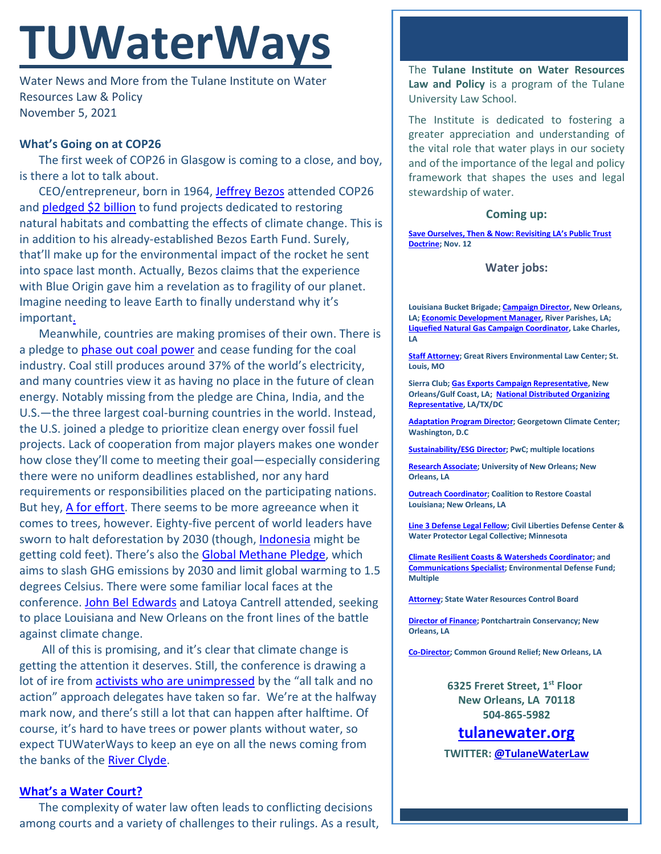# **TUWaterWays**

Water News and More from the Tulane Institute on Water Resources Law & Policy November 5, 2021

# **What's Going on at COP26**

The first week of COP26 in Glasgow is coming to a close, and boy, is there a lot to talk about.

CEO/entrepreneur, born in 1964, [Jeffrey Bezos](https://www.youtube.com/watch?v=rTb3GR6yrQI) attended COP26 and **pledged \$2 billion** to fund projects dedicated to restoring natural habitats and combatting the effects of climate change. This is in addition to his already-established Bezos Earth Fund. Surely, that'll make up for the environmental impact of the rocket he sent into space last month. Actually, Bezos claims that the experience with Blue Origin gave him a revelation as to fragility of our planet. Imagine needing to leave Earth to finally understand why it's importan[t.](https://www.google.com/url?sa=i&url=https%3A%2F%2Ftenor.com%2Fview%2Fthe-rock-eye-roll-nah-gif-10837693&psig=AOvVaw0SEKtbJB6sKr_9Ibb2psAN&ust=1636219218454000&source=images&cd=vfe&ved=0CAsQjRxqFwoTCMiHs9zdgfQCFQAAAAAdAAAAABAU)

Meanwhile, countries are making promises of their own. There is a pledge to [phase out coal power](https://www.bbc.com/news/science-environment-59159018) and cease funding for the coal industry. Coal still produces around 37% of the world's electricity, and many countries view it as having no place in the future of clean energy. Notably missing from the pledge are China, India, and the U.S.—the three largest coal-burning countries in the world. Instead, the U.S. joined a pledge to prioritize clean energy over fossil fuel projects. Lack of cooperation from major players makes one wonder how close they'll come to meeting their goal—especially considering there were no uniform deadlines established, nor any hard requirements or responsibilities placed on the participating nations. But hey, [A for effort.](https://giphy.com/gifs/latenightseth-lol-seth-meyers-7XmgreV9azxTwAkjO4) There seems to be more agreeance when it comes to trees, however. Eighty-five percent of world leaders have sworn to halt deforestation by 2030 (though, [Indonesia](https://www.reuters.com/business/cop/indonesia-signals-about-face-cop26-zero-deforestation-pledge-2021-11-04/) might be getting cold feet). There's also the [Global Methane Pledge,](https://www.state.gov/united-states-european-union-and-partners-formally-launch-global-methane-pledge-to-keep-1-5c-within-reach/) which aims to slash GHG emissions by 2030 and limit global warming to 1.5 degrees Celsius. There were some familiar local faces at the conference. John [Bel Edwards](https://gov.louisiana.gov/index.cfm/newsroom/detail/3441) and Latoya Cantrell attended, seeking to place Louisiana and New Orleans on the front lines of the battle against climate change.

All of this is promising, and it's clear that climate change is getting the attention it deserves. Still, the conference is drawing a lot of ire from **activists [who are unimpressed](https://www.nytimes.com/live/2021/11/05/climate/cop26-glasgow-climate-summit)** by the "all talk and no action" approach delegates have taken so far. We're at the halfway mark now, and there's still a lot that can happen after halftime. Of course, it's hard to have trees or power plants without water, so expect TUWaterWays to keep an eye on all the news coming from the banks of the River Clyde.

## **[What's a Water Court?](https://www.youtube.com/watch?v=SUnYps8EoYA)**

The complexity of water law often leads to conflicting decisions among courts and a variety of challenges to their rulings. As a result, The **Tulane Institute on Water Resources Law and Policy** is a program of the Tulane University Law School.

The Institute is dedicated to fostering a greater appreciation and understanding of the vital role that water plays in our society and of the importance of the legal and policy framework that shapes the uses and legal stewardship of water.

### **Coming up:**

**[Save Ourselves, Then & Now: Revisiting LA's Public Trust](https://www.eventbrite.com/e/save-ourselves-then-now-revisiting-las-public-trust-doctrine-tickets-186007773257)  [Doctrine;](https://www.eventbrite.com/e/save-ourselves-then-now-revisiting-las-public-trust-doctrine-tickets-186007773257) Nov. 12**

#### **Water jobs:**

**Louisiana Bucket Brigade[; Campaign Director,](https://labucketbrigade.org/now-hiring-campaign-director/) New Orleans, LA[; Economic Development Manager,](https://labucketbrigade.org/now-hiring-economic-development-manager/) River Parishes, LA; [Liquefied Natural Gas Campaign Coordinator,](https://labucketbrigade.org/now-hiring-liquefied-natural-gas-campaign-coordinator/) Lake Charles, LA**

**[Staff Attorney;](https://greatriverslaw.org/job-openings/) Great Rivers Environmental Law Center; St. Louis, MO**

**Sierra Club[; Gas Exports Campaign Representative,](https://phf.tbe.taleo.net/phf01/ats/careers/v2/viewRequisition?org=SIERRACLUB&cws=42&rid=1797) New Orleans/Gulf Coast, LA; [National Distributed Organizing](https://phf.tbe.taleo.net/phf01/ats/careers/v2/viewRequisition?org=SIERRACLUB&cws=39&rid=1790)  [Representative,](https://phf.tbe.taleo.net/phf01/ats/careers/v2/viewRequisition?org=SIERRACLUB&cws=39&rid=1790) LA/TX/DC**

**[Adaptation Program Director;](https://georgetown.wd1.myworkdayjobs.com/en-US/Georgetown_Admin_Careers/job/Law-Center/Adaptation-Program-Director--Georgetown-Climate-Center---Georgetown-University-Law-Center_JR10781) Georgetown Climate Center; Washington, D.C**

**[Sustainability/ESG Director;](https://jobs.us.pwc.com/job/-/-/932/8531402784?utm_source=linkedin.com&utm_campaign=core_media&utm_medium=social_media&utm_content=job_posting&ss=paid&dclid=CIHN-by5yvMCFUvrwAodK4kFqw) PwC; multiple locations**

**[Research Associate;](https://ulsuno.wd1.myworkdayjobs.com/en-US/UniversityOfNewOrleans/job/New-Orleans-La/Research-Associate-1_R-000365) University of New Orleans; New Orleans, LA**

**[Outreach Coordinator;](https://www.crcl.org/mrdoutreachcoord) Coalition to Restore Coastal Louisiana; New Orleans, LA**

**[Line 3 Defense Legal Fellow;](https://cldc.org/wp-content/uploads/2021/11/Line-3-Defense-Attorneys-Job-Posting.pdf) Civil Liberties Defense Center & Water Protector Legal Collective; Minnesota**

**[Climate Resilient Coasts & Watersheds Coordinator;](https://www.edf.org/jobs/coordinator-climate-resilient-coasts-watersheds) and [Communications Specialist;](https://www.edf.org/jobs/communications-specialist-coastal-resilience) Environmental Defense Fund; Multiple**

**[Attorney;](https://www.calcareers.ca.gov/CalHrPublic/Jobs/JobPosting.aspx?JobControlId=253429) State Water Resources Control Board**

**[Director of Finance;](https://scienceforourcoast.org/download/pc-director-of-finance/?ind=1635538282408&filename=Director%20Finance%20%20AccountingFinal.pdf&wpdmdl=20770&refresh=617c557b993fd1635538299) Pontchartrain Conservancy; New Orleans, LA**

**[Co-Director;](https://www.commongroundrelief.org/wp-content/uploads/2021/11/CGR-Co-Director-Listing-1.pdf?fbclid=IwAR2CqmhtOx_J8vqIIFfKvQ-je3lQljo9G7pTj2FSKdb_vYyOnEpYwVbR580) Common Ground Relief; New Orleans, LA**

**6325 Freret Street, 1st Floor New Orleans, LA 70118 504-865-5982**

**tulanewater.org**

**TWITTER: [@TulaneWaterLaw](http://www.twitter.com/TulaneWaterLaw)**